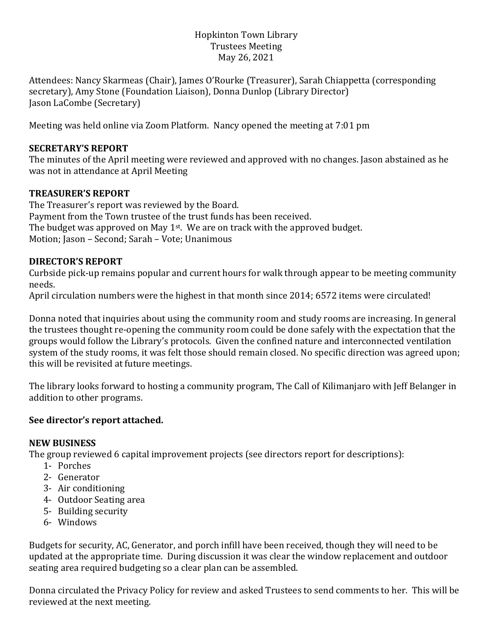## Hopkinton Town Library Trustees Meeting May 26, 2021

Attendees: Nancy Skarmeas (Chair), James O'Rourke (Treasurer), Sarah Chiappetta (corresponding secretary), Amy Stone (Foundation Liaison), Donna Dunlop (Library Director) Jason LaCombe (Secretary)

Meeting was held online via Zoom Platform. Nancy opened the meeting at 7:01 pm

## **SECRETARY'S REPORT**

The minutes of the April meeting were reviewed and approved with no changes. Jason abstained as he was not in attendance at April Meeting

## **TREASURER'S REPORT**

The Treasurer's report was reviewed by the Board. Payment from the Town trustee of the trust funds has been received. The budget was approved on May 1<sup>st</sup>. We are on track with the approved budget. Motion; Jason – Second; Sarah – Vote; Unanimous

# **DIRECTOR'S REPORT**

Curbside pick-up remains popular and current hours for walk through appear to be meeting community needs.

April circulation numbers were the highest in that month since 2014; 6572 items were circulated!

Donna noted that inquiries about using the community room and study rooms are increasing. In general the trustees thought re-opening the community room could be done safely with the expectation that the groups would follow the Library's protocols. Given the confined nature and interconnected ventilation system of the study rooms, it was felt those should remain closed. No specific direction was agreed upon; this will be revisited at future meetings.

The library looks forward to hosting a community program, The Call of Kilimanjaro with Jeff Belanger in addition to other programs.

### **See director's report attached.**

### **NEW BUSINESS**

The group reviewed 6 capital improvement projects (see directors report for descriptions):

- 1- Porches
- 2- Generator
- 3- Air conditioning
- 4- Outdoor Seating area
- 5- Building security
- 6- Windows

Budgets for security, AC, Generator, and porch infill have been received, though they will need to be updated at the appropriate time. During discussion it was clear the window replacement and outdoor seating area required budgeting so a clear plan can be assembled.

Donna circulated the Privacy Policy for review and asked Trustees to send comments to her. This will be reviewed at the next meeting.